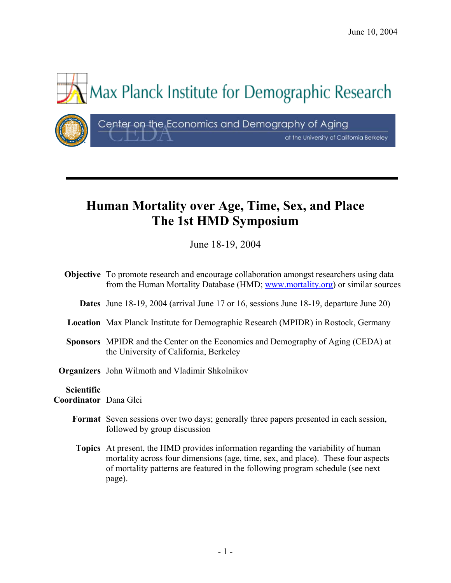at the University of California Berkeley



# **Human Mortality over Age, Time, Sex, and Place The 1st HMD Symposium**

June 18-19, 2004

|                                            | <b>Objective</b> To promote research and encourage collaboration amongst researchers using data<br>from the Human Mortality Database (HMD; www.mortality.org) or similar sources                                                                                |
|--------------------------------------------|-----------------------------------------------------------------------------------------------------------------------------------------------------------------------------------------------------------------------------------------------------------------|
|                                            | <b>Dates</b> June 18-19, 2004 (arrival June 17 or 16, sessions June 18-19, departure June 20)                                                                                                                                                                   |
|                                            | <b>Location</b> Max Planck Institute for Demographic Research (MPIDR) in Rostock, Germany                                                                                                                                                                       |
|                                            | <b>Sponsors</b> MPIDR and the Center on the Economics and Demography of Aging (CEDA) at<br>the University of California, Berkeley                                                                                                                               |
|                                            | <b>Organizers</b> John Wilmoth and Vladimir Shkolnikov                                                                                                                                                                                                          |
| <b>Scientific</b><br>Coordinator Dana Glei |                                                                                                                                                                                                                                                                 |
|                                            | <b>Format</b> Seven sessions over two days; generally three papers presented in each session,<br>followed by group discussion                                                                                                                                   |
|                                            | <b>Topics</b> At present, the HMD provides information regarding the variability of human<br>mortality across four dimensions (age, time, sex, and place). These four aspects<br>of mortality patterns are featured in the following program schedule (see next |

page).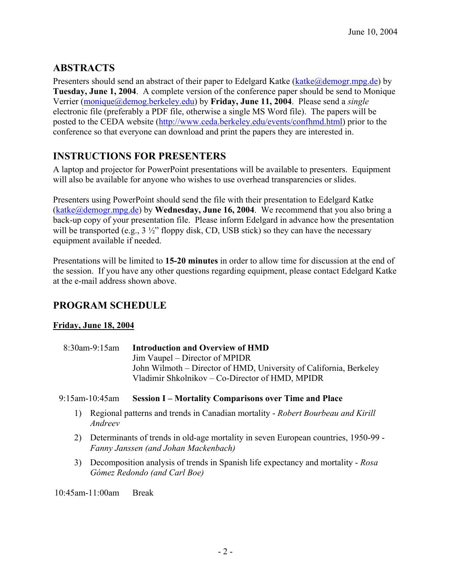# **ABSTRACTS**

Presenters should send an abstract of their paper to Edelgard Katke (katke@demogr.mpg.de) by **Tuesday, June 1, 2004**. A complete version of the conference paper should be send to Monique Verrier (monique@demog.berkeley.edu) by **Friday, June 11, 2004**. Please send a *single* electronic file (preferably a PDF file, otherwise a single MS Word file). The papers will be posted to the CEDA website (http://www.ceda.berkeley.edu/events/confhmd.html) prior to the conference so that everyone can download and print the papers they are interested in.

# **INSTRUCTIONS FOR PRESENTERS**

A laptop and projector for PowerPoint presentations will be available to presenters. Equipment will also be available for anyone who wishes to use overhead transparencies or slides.

Presenters using PowerPoint should send the file with their presentation to Edelgard Katke (katke@demogr.mpg.de) by **Wednesday, June 16, 2004**. We recommend that you also bring a back-up copy of your presentation file. Please inform Edelgard in advance how the presentation will be transported (e.g.,  $3\frac{1}{2}$ " floppy disk, CD, USB stick) so they can have the necessary equipment available if needed.

Presentations will be limited to **15-20 minutes** in order to allow time for discussion at the end of the session. If you have any other questions regarding equipment, please contact Edelgard Katke at the e-mail address shown above.

# **PROGRAM SCHEDULE**

# **Friday, June 18, 2004**

 8:30am-9:15am **Introduction and Overview of HMD** Jim Vaupel – Director of MPIDR John Wilmoth – Director of HMD, University of California, Berkeley Vladimir Shkolnikov – Co-Director of HMD, MPIDR

## 9:15am-10:45am **Session I – Mortality Comparisons over Time and Place**

- 1) Regional patterns and trends in Canadian mortality *Robert Bourbeau and Kirill Andreev*
- 2) Determinants of trends in old-age mortality in seven European countries, 1950-99 *Fanny Janssen (and Johan Mackenbach)*
- 3) Decomposition analysis of trends in Spanish life expectancy and mortality *Rosa Gómez Redondo (and Carl Boe)*

10:45am-11:00am Break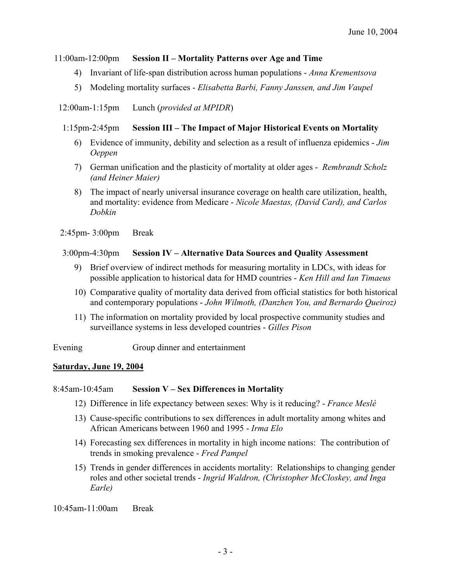## 11:00am-12:00pm **Session II – Mortality Patterns over Age and Time**

- 4) Invariant of life-span distribution across human populations *Anna Krementsova*
- 5) Modeling mortality surfaces *Elisabetta Barbi, Fanny Janssen, and Jim Vaupel*

12:00am-1:15pm Lunch (*provided at MPIDR*)

# 1:15pm-2:45pm **Session III – The Impact of Major Historical Events on Mortality**

- 6) Evidence of immunity, debility and selection as a result of influenza epidemics *Jim Oeppen*
- 7) German unification and the plasticity of mortality at older ages *Rembrandt Scholz (and Heiner Maier)*
- 8) The impact of nearly universal insurance coverage on health care utilization, health, and mortality: evidence from Medicare - *Nicole Maestas, (David Card), and Carlos Dobkin*

2:45pm- 3:00pm Break

# 3:00pm-4:30pm **Session IV – Alternative Data Sources and Quality Assessment**

- 9) Brief overview of indirect methods for measuring mortality in LDCs, with ideas for possible application to historical data for HMD countries - *Ken Hill and Ian Timaeus*
- 10) Comparative quality of mortality data derived from official statistics for both historical and contemporary populations - *John Wilmoth, (Danzhen You, and Bernardo Queiroz)*
- 11) The information on mortality provided by local prospective community studies and surveillance systems in less developed countries - *Gilles Pison*

Evening Group dinner and entertainment

## **Saturday, June 19, 2004**

## 8:45am-10:45am **Session V – Sex Differences in Mortality**

- 12) Difference in life expectancy between sexes: Why is it reducing? *France Meslé*
- 13) Cause-specific contributions to sex differences in adult mortality among whites and African Americans between 1960 and 1995 - *Irma Elo*
- 14) Forecasting sex differences in mortality in high income nations: The contribution of trends in smoking prevalence - *Fred Pampel*
- 15) Trends in gender differences in accidents mortality: Relationships to changing gender roles and other societal trends - *Ingrid Waldron, (Christopher McCloskey, and Inga Earle)*

10:45am-11:00am Break